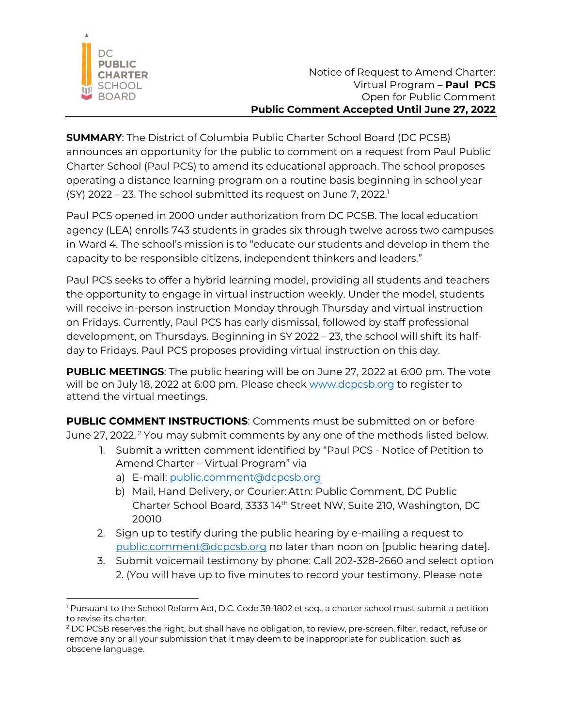

**SUMMARY**: The District of Columbia Public Charter School Board (DC PCSB) announces an opportunity for the public to comment on a request from Paul Public Charter School (Paul PCS) to amend its educational approach. The school proposes operating a distance learning program on a routine basis beginning in school year (SY) 2022 – 23. The school submitted its request on June 7, 2022. 1

Paul PCS opened in 2000 under authorization from DC PCSB. The local education agency (LEA) enrolls 743 students in grades six through twelve across two campuses in Ward 4. The school's mission is to "educate our students and develop in them the capacity to be responsible citizens, independent thinkers and leaders."

Paul PCS seeks to offer a hybrid learning model, providing all students and teachers the opportunity to engage in virtual instruction weekly. Under the model, students will receive in-person instruction Monday through Thursday and virtual instruction on Fridays. Currently, Paul PCS has early dismissal, followed by staff professional development, on Thursdays. Beginning in SY 2022 – 23, the school will shift its halfday to Fridays. Paul PCS proposes providing virtual instruction on this day.

**PUBLIC MEETINGS:** The public hearing will be on June 27, 2022 at 6:00 pm. The vote will be on July 18, 2022 at 6:00 pm. Please check www.dcpcsb.org to register to attend the virtual meetings.

**PUBLIC COMMENT INSTRUCTIONS**: Comments must be submitted on or before June 27, 2022.<sup>2</sup> You may submit comments by any one of the methods listed below.

- 1. Submit a written comment identified by "Paul PCS Notice of Petition to Amend Charter – Virtual Program" via
	- a) E-mail: public.comment@dcpcsb.org
	- b) Mail, Hand Delivery, or Courier: Attn: Public Comment, DC Public Charter School Board, 3333 14th Street NW, Suite 210, Washington, DC 20010
- 2. Sign up to testify during the public hearing by e-mailing a request to public.comment@dcpcsb.org no later than noon on [public hearing date].
- 3. Submit voicemail testimony by phone: Call 202-328-2660 and select option 2. (You will have up to five minutes to record your testimony. Please note

<sup>&</sup>lt;sup>1</sup> Pursuant to the School Reform Act, D.C. Code 38-1802 et seq., a charter school must submit a petition to revise its charter.

<sup>&</sup>lt;sup>2</sup> DC PCSB reserves the right, but shall have no obligation, to review, pre-screen, filter, redact, refuse or remove any or all your submission that it may deem to be inappropriate for publication, such as obscene language.